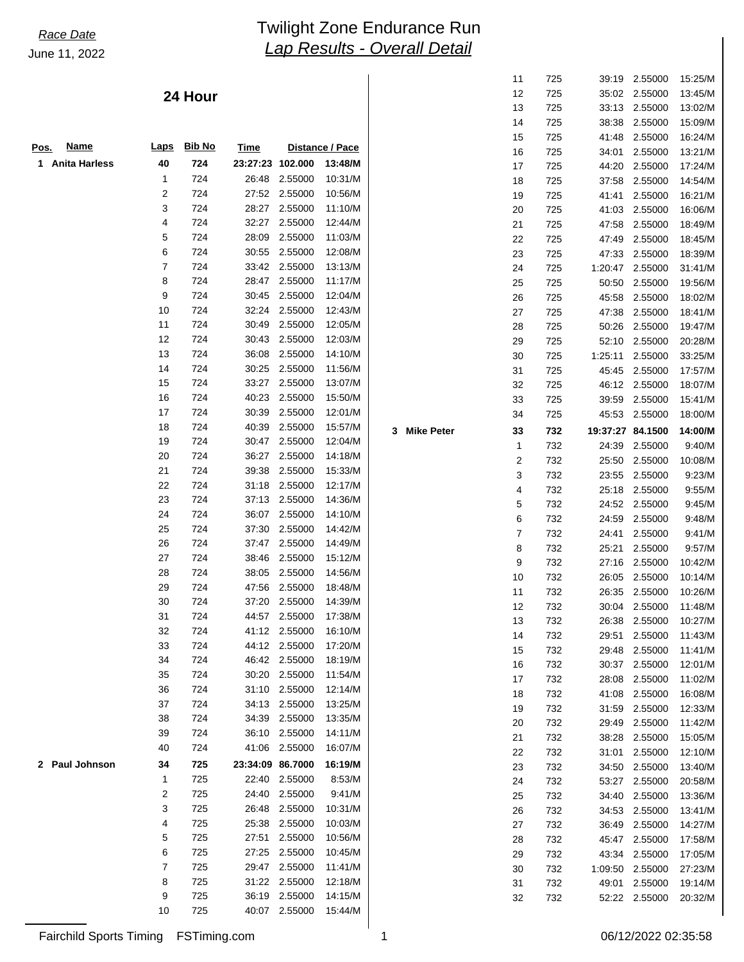**3** Mike Peter

### **24 Hour**

| <b>Name</b><br>Pos.          | <b>Laps</b> | <b>Bib No</b> | <b>Time</b> |         | Distance / Pace |
|------------------------------|-------------|---------------|-------------|---------|-----------------|
| <b>Anita Harless</b><br>1    | 40          | 724           | 23:27:23    | 102.000 | 13:48/M         |
|                              | 1           | 724           | 26:48       | 2.55000 | 10:31/M         |
|                              | 2           | 724           | 27:52       | 2.55000 | 10:56/M         |
|                              | 3           | 724           | 28:27       | 2.55000 | 11:10/M         |
|                              | 4           | 724           | 32:27       | 2.55000 | 12:44/M         |
|                              | 5           | 724           | 28:09       | 2.55000 | 11:03/M         |
|                              | 6           | 724           | 30:55       | 2.55000 | 12:08/M         |
|                              | 7           | 724           | 33:42       | 2.55000 | 13:13/M         |
|                              | 8           | 724           | 28:47       | 2.55000 | 11:17/M         |
|                              | 9           | 724           | 30:45       | 2.55000 | 12:04/M         |
|                              | 10          | 724           | 32:24       | 2.55000 | 12:43/M         |
|                              | 11          | 724           | 30:49       | 2.55000 | 12:05/M         |
|                              | 12          | 724           | 30:43       | 2.55000 | 12:03/M         |
|                              | 13          | 724           | 36:08       | 2.55000 | 14:10/M         |
|                              | 14          | 724           | 30:25       | 2.55000 | 11:56/M         |
|                              | 15          | 724           | 33:27       | 2.55000 | 13:07/M         |
|                              | 16          | 724           | 40:23       | 2.55000 | 15:50/M         |
|                              | 17          | 724           | 30:39       | 2.55000 | 12:01/M         |
|                              | 18          | 724           | 40:39       | 2.55000 | 15:57/M         |
|                              | 19          | 724           | 30:47       | 2.55000 | 12:04/M         |
|                              | 20          | 724           | 36:27       | 2.55000 | 14:18/M         |
|                              | 21          | 724           | 39:38       | 2.55000 | 15:33/M         |
|                              | 22          | 724           | 31:18       | 2.55000 | 12:17/M         |
|                              | 23          | 724           | 37:13       | 2.55000 | 14:36/M         |
|                              | 24          | 724           | 36:07       | 2.55000 | 14:10/M         |
|                              | 25          | 724           | 37:30       | 2.55000 | 14:42/M         |
|                              | 26          | 724           | 37:47       | 2.55000 | 14:49/M         |
|                              | 27          | 724           | 38:46       | 2.55000 | 15:12/M         |
|                              | 28          | 724           | 38:05       | 2.55000 | 14:56/M         |
|                              | 29          | 724           | 47:56       | 2.55000 | 18:48/M         |
|                              | 30          | 724           | 37:20       | 2.55000 | 14:39/M         |
|                              | 31          | 724           | 44:57       | 2.55000 | 17:38/M         |
|                              | 32          | 724           | 41:12       | 2.55000 | 16:10/M         |
|                              | 33          | 724           | 44:12       | 2.55000 | 17:20/M         |
|                              | 34          | 724           | 46:42       | 2.55000 | 18:19/M         |
|                              | 35          | 724           | 30:20       | 2.55000 | 11:54/M         |
|                              | 36          | 724           | 31:10       | 2.55000 | 12:14/M         |
|                              | 37          | 724           | 34:13       | 2.55000 | 13:25/M         |
|                              | 38          | 724           | 34:39       | 2.55000 | 13:35/M         |
|                              | 39          | 724           | 36:10       | 2.55000 | 14:11/M         |
|                              | 40          | 724           | 41:06       | 2.55000 | 16:07/M         |
| Paul Johnson<br>$\mathbf{2}$ | 34          | 725           | 23:34:09    | 86.7000 | 16:19/M         |
|                              | 1           | 725           | 22:40       | 2.55000 | 8:53/M          |
|                              | 2           | 725           | 24:40       | 2.55000 | 9:41/M          |
|                              | 3           | 725           | 26:48       | 2.55000 | 10:31/M         |
|                              | 4           | 725           | 25:38       | 2.55000 | 10:03/M         |
|                              | 5           | 725           | 27:51       | 2.55000 | 10:56/M         |
|                              | 6           | 725           | 27:25       | 2.55000 | 10:45/M         |
|                              | 7           | 725           | 29:47       | 2.55000 | 11:41/M         |
|                              | 8           | 725           | 31:22       | 2.55000 | 12:18/M         |
|                              | 9           | 725           | 36:19       | 2.55000 | 14:15/M         |
|                              | 10          | 725           | 40:07       | 2.55000 | 15:44/M         |

| 11     | 725 | 39:19    | 2.55000 | 15:25/M |
|--------|-----|----------|---------|---------|
| 12     | 725 | 35:02    | 2.55000 | 13:45/M |
| 13     | 725 | 33:13    | 2.55000 | 13:02/M |
| 14     | 725 | 38:38    | 2.55000 | 15:09/M |
| 15     | 725 | 41:48    | 2.55000 | 16:24/M |
| 16     | 725 | 34:01    | 2.55000 | 13:21/M |
| 17     | 725 | 44:20    | 2.55000 | 17:24/M |
| 18     | 725 | 37:58    | 2.55000 | 14:54/M |
| 19     | 725 | 41:41    | 2.55000 | 16:21/M |
| 20     | 725 | 41:03    | 2.55000 | 16:06/M |
| 21     | 725 | 47:58    | 2.55000 | 18:49/M |
| 22     | 725 | 47:49    | 2.55000 | 18:45/M |
| 23     | 725 | 47:33    | 2.55000 | 18:39/M |
| 24     | 725 | 1:20:47  | 2.55000 | 31:41/M |
| 25     | 725 | 50:50    | 2.55000 | 19:56/M |
| 26     | 725 | 45:58    | 2.55000 | 18:02/M |
| 27     | 725 | 47:38    | 2.55000 | 18:41/M |
| 28     | 725 | 50:26    | 2.55000 | 19:47/M |
| 29     | 725 | 52:10    | 2.55000 | 20:28/M |
| 30     | 725 | 1:25:11  | 2.55000 | 33:25/M |
| 31     | 725 | 45:45    | 2.55000 | 17:57/M |
| 32     | 725 | 46:12    | 2.55000 | 18:07/M |
| 33     | 725 | 39.59    | 2.55000 | 15:41/M |
| 34     | 725 | 45:53    | 2.55000 | 18:00/M |
| 33     | 732 | 19:37:27 | 84.1500 | 14:00/M |
| 1      | 732 | 24:39    | 2.55000 | 9:40/M  |
| 2      | 732 | 25:50    | 2.55000 | 10:08/M |
| 3      | 732 | 23:55    | 2.55000 | 9:23/M  |
|        |     |          |         |         |
| 4      | 732 | 25:18    | 2.55000 | 9:55/M  |
|        | 732 | 24:52    | 2.55000 | 9:45/M  |
| 5<br>6 | 732 | 24:59    | 2.55000 | 9:48/M  |
| 7      | 732 | 24:41    | 2.55000 | 9:41/M  |
| 8      | 732 | 25:21    | 2.55000 | 9:57/M  |
| 9      | 732 | 27:16    | 2.55000 | 10:42/M |
| 10     | 732 | 26:05    | 2.55000 | 10:14/M |
| 11     | 732 | 26:35    | 2.55000 | 10:26/M |
| 12     | 732 | 30:04    | 2.55000 | 11:48/M |
| 13     | 732 | 26:38    | 2.55000 | 10:27/M |
| 14     | 732 | 29:51    | 2.55000 | 11:43/M |
| 15     | 732 | 29:48    | 2.55000 | 11:41/M |
| 16     | 732 | 30:37    | 2.55000 | 12:01/M |
| 17     | 732 | 28:08    | 2.55000 | 11:02/M |
| 18     | 732 | 41:08    | 2.55000 | 16:08/M |
| 19     | 732 | 31:59    | 2.55000 | 12:33/M |
| 20     | 732 | 29:49    | 2.55000 | 11:42/M |
| 21     | 732 | 38:28    | 2.55000 | 15:05/M |
| 22     | 732 | 31:01    | 2.55000 | 12:10/M |
| 23     | 732 | 34:50    | 2.55000 | 13:40/M |
| 24     | 732 | 53:27    | 2.55000 | 20:58/M |
| 25     | 732 | 34:40    | 2.55000 | 13:36/M |
| 26     | 732 | 34:53    | 2.55000 | 13:41/M |
| 27     | 732 | 36:49    | 2.55000 | 14:27/M |
| 28     | 732 | 45:47    | 2.55000 | 17:58/M |
| 29     | 732 | 43:34    | 2.55000 | 17:05/M |
| 30     | 732 | 1:09:50  | 2.55000 | 27:23/M |
| 31     | 732 | 49:01    | 2.55000 | 19:14/M |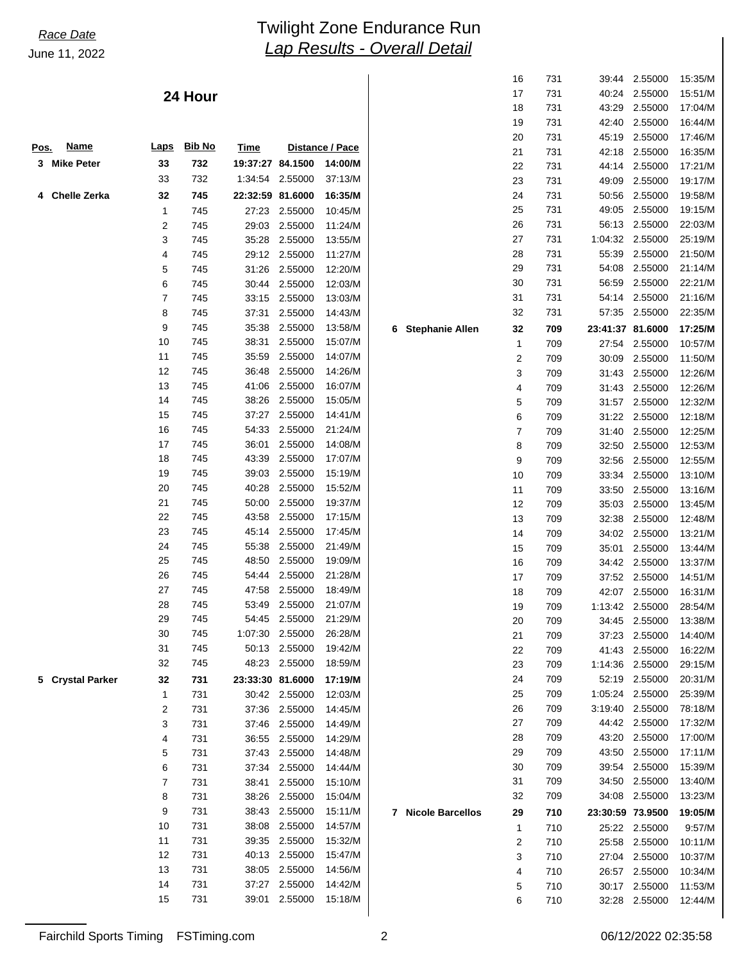### **24 Hour**

| Pos. | <u>Name</u>           | <b>Laps</b> | <b>Bib No</b> | <b>Time</b>      |                    | Distance / Pace    |                       |
|------|-----------------------|-------------|---------------|------------------|--------------------|--------------------|-----------------------|
| 3    | <b>Mike Peter</b>     | 33          | 732           | 19:37:27         | 84.1500            | 14:00/M            |                       |
|      |                       | 33          | 732           | 1:34:54          | 2.55000            | 37:13/M            |                       |
| 4    | <b>Chelle Zerka</b>   | 32          | 745           | 22:32:59 81.6000 |                    | 16:35/M            |                       |
|      |                       | 1           | 745           | 27:23            | 2.55000            | 10:45/M            |                       |
|      |                       | 2           | 745           | 29:03            | 2.55000            | 11:24/M            |                       |
|      |                       | 3           | 745           | 35:28            | 2.55000            | 13:55/M            |                       |
|      |                       | 4           | 745           | 29:12            | 2.55000            | 11:27/M            |                       |
|      |                       | 5           | 745           | 31:26            | 2.55000            | 12:20/M            |                       |
|      |                       | 6           | 745           | 30:44            | 2.55000            | 12:03/M            |                       |
|      |                       | 7           | 745           | 33:15            | 2.55000            | 13:03/M            |                       |
|      |                       | 8           | 745           | 37:31            | 2.55000            | 14:43/M            |                       |
|      |                       | 9           | 745           | 35.38            | 2.55000            | 13:58/M            | 6<br>Stephani         |
|      |                       | 10          | 745           | 38:31            | 2.55000            | 15:07/M            |                       |
|      |                       | 11          | 745           | 35:59            | 2.55000            | 14:07/M            |                       |
|      |                       | 12          | 745           | 36:48            | 2.55000            | 14:26/M            |                       |
|      |                       | 13          | 745           | 41:06            | 2.55000            | 16:07/M            |                       |
|      |                       | 14          | 745           | 38:26            | 2.55000            | 15:05/M            |                       |
|      |                       | 15          | 745           | 37:27            | 2.55000            | 14:41/M            |                       |
|      |                       | 16          | 745           | 54:33            | 2.55000            | 21:24/M            |                       |
|      |                       | 17          | 745           | 36:01            | 2.55000            | 14:08/M            |                       |
|      |                       | 18          | 745           | 43:39            | 2.55000            | 17:07/M            |                       |
|      |                       | 19          | 745           | 39:03            | 2.55000            | 15:19/M            |                       |
|      |                       | 20          | 745           | 40:28            | 2.55000            | 15:52/M            |                       |
|      |                       | 21          | 745           | 50:00            | 2.55000            | 19:37/M            |                       |
|      |                       | 22          | 745           | 43:58            | 2.55000            | 17:15/M            |                       |
|      |                       | 23          | 745           | 45:14            | 2.55000            | 17:45/M            |                       |
|      |                       | 24          | 745           | 55:38            | 2.55000            | 21:49/M            |                       |
|      |                       | 25          | 745           | 48:50            | 2.55000            | 19:09/M            |                       |
|      |                       | 26          | 745           | 54:44            | 2.55000            | 21:28/M            |                       |
|      |                       | 27          | 745           | 47:58            | 2.55000            | 18:49/M            |                       |
|      |                       | 28          | 745           | 53:49            | 2.55000            | 21:07/M            |                       |
|      |                       | 29          | 745           | 54:45            | 2.55000            | 21:29/M            |                       |
|      |                       | 30          | 745           | 1:07:30          | 2.55000            | 26:28/M            |                       |
|      |                       | 31          | 745           | 50:13            | 2.55000            | 19:42/M            |                       |
|      |                       | 32          | 745           | 48:23            | 2.55000            | 18:59/M            |                       |
| 5    | <b>Crystal Parker</b> | 32          | 731           | 23:33:30         | 81.6000            | 17:19/M            |                       |
|      |                       | 1           | 731           | 30:42            | 2.55000            | 12:03/M            |                       |
|      |                       | 2           | 731           | 37:36            | 2.55000            | 14:45/M            |                       |
|      |                       | 3           | 731           | 37:46            | 2.55000            | 14:49/M            |                       |
|      |                       | 4           | 731           | 36:55            | 2.55000            | 14:29/M            |                       |
|      |                       | 5           | 731           | 37:43            | 2.55000            | 14:48/M            |                       |
|      |                       | 6           | 731           | 37:34            | 2.55000            | 14:44/M            |                       |
|      |                       | 7           | 731           | 38:41            | 2.55000            | 15:10/M            |                       |
|      |                       | 8           | 731           | 38:26            | 2.55000            | 15:04/M            |                       |
|      |                       | 9           | 731           | 38:43            | 2.55000            | 15:11/M            | <b>Nicole Ba</b><br>7 |
|      |                       | 10          | 731           | 38:08            | 2.55000            | 14:57/M            |                       |
|      |                       | 11          | 731           | 39:35            | 2.55000            | 15:32/M            |                       |
|      |                       | 12          | 731           | 40:13            | 2.55000            | 15:47/M            |                       |
|      |                       | 13          | 731           | 38:05            | 2.55000            | 14:56/M            |                       |
|      |                       | 14<br>15    | 731<br>731    | 37:27<br>39:01   | 2.55000<br>2.55000 | 14:42/M<br>15:18/M |                       |
|      |                       |             |               |                  |                    |                    |                       |

|          | 16      | 731        | 39:44    | 2.55000 | 15:35/M            |
|----------|---------|------------|----------|---------|--------------------|
|          | 17      | 731        | 40:24    | 2.55000 | 15:51/M            |
|          | 18      | 731        | 43:29    | 2.55000 | 17:04/M            |
|          | 19      | 731        | 42:40    | 2.55000 | 16:44/M            |
|          | 20      | 731        | 45:19    | 2.55000 | 17:46/M            |
|          | 21      | 731        | 42:18    | 2.55000 | 16:35/M            |
|          | 22      | 731        | 44:14    | 2.55000 | 17:21/M            |
|          | 23      | 731        | 49:09    | 2.55000 | 19:17/M            |
|          | 24      | 731        | 50:56    | 2.55000 | 19:58/M            |
|          | 25      | 731        | 49:05    | 2.55000 | 19:15/M            |
|          | 26      | 731        | 56:13    | 2.55000 | 22:03/M            |
|          | 27      | 731        | 1:04:32  | 2.55000 | 25:19/M            |
|          | 28      | 731        | 55:39    | 2.55000 | 21:50/M            |
|          | 29      | 731        | 54:08    | 2.55000 | 21:14/M            |
|          | 30      | 731        | 56:59    | 2.55000 | 22:21/M            |
|          | 31      | 731        | 54:14    | 2.55000 | 21:16/M            |
|          | 32      | 731        | 57:35    | 2.55000 | 22:35/M            |
| ie Allen |         |            | 23:41:37 | 81.6000 | 17:25/M            |
|          | 32<br>1 | 709<br>709 | 27:54    | 2.55000 | 10:57/M            |
|          | 2       | 709        | 30:09    | 2.55000 | 11:50/M            |
|          | 3       |            |          |         |                    |
|          |         | 709        | 31:43    | 2.55000 | 12:26/M<br>12:26/M |
|          | 4       | 709        | 31:43    | 2.55000 |                    |
|          | 5       | 709        | 31:57    | 2.55000 | 12:32/M            |
|          | 6       | 709        | 31:22    | 2.55000 | 12:18/M            |
|          | 7       | 709        | 31:40    | 2.55000 | 12:25/M            |
|          | 8       | 709        | 32:50    | 2.55000 | 12:53/M            |
|          | 9       | 709        | 32:56    | 2.55000 | 12:55/M            |
|          | 10      | 709        | 33:34    | 2.55000 | 13:10/M            |
|          | 11      | 709        | 33:50    | 2.55000 | 13:16/M            |
|          | 12      | 709        | 35:03    | 2.55000 | 13:45/M            |
|          | 13      | 709        | 32:38    | 2.55000 | 12:48/M            |
|          | 14      | 709        | 34:02    | 2.55000 | 13:21/M            |
|          | 15      | 709        | 35:01    | 2.55000 | 13:44/M            |
|          | 16      | 709        | 34:42    | 2.55000 | 13:37/M            |
|          | 17      | 709        | 37:52    | 2.55000 | 14:51/M            |
|          | 18      | 709        | 42:07    | 2.55000 | 16:31/M            |
|          | 19      | 709        | 1:13:42  | 2.55000 | 28:54/M            |
|          | 20      | 709        | 34:45    | 2.55000 | 13:38/M            |
|          | 21      | 709        | 37:23    | 2.55000 | 14:40/M            |
|          | 22      | 709        | 41:43    | 2.55000 | 16:22/M            |
|          | 23      | 709        | 1:14:36  | 2.55000 | 29:15/M            |
|          | 24      | 709        | 52:19    | 2.55000 | 20:31/M            |
|          | 25      | 709        | 1:05:24  | 2.55000 | 25:39/M            |
|          | 26      | 709        | 3:19:40  | 2.55000 | 78:18/M            |
|          | 27      | 709        | 44:42    | 2.55000 | 17:32/M            |
|          | 28      | 709        | 43:20    | 2.55000 | 17:00/M            |
|          | 29      | 709        | 43:50    | 2.55000 | 17:11/M            |
|          | 30      | 709        | 39:54    | 2.55000 | 15:39/M            |
|          | 31      | 709        | 34:50    | 2.55000 | 13:40/M            |
|          | 32      | 709        | 34:08    | 2.55000 | 13:23/M            |
| arcellos | 29      | 710        | 23:30:59 | 73.9500 | 19:05/M            |
|          | 1       | 710        | 25:22    | 2.55000 | 9:57/M             |
|          | 2       | 710        | 25:58    | 2.55000 | 10:11/M            |
|          | 3       | 710        | 27:04    | 2.55000 | 10:37/M            |
|          | 4       | 710        | 26:57    | 2.55000 | 10:34/M            |
|          | 5       | 710        | 30:17    | 2.55000 | 11:53/M            |
|          | 6       | 710        | 32:28    | 2.55000 | 12:44/M            |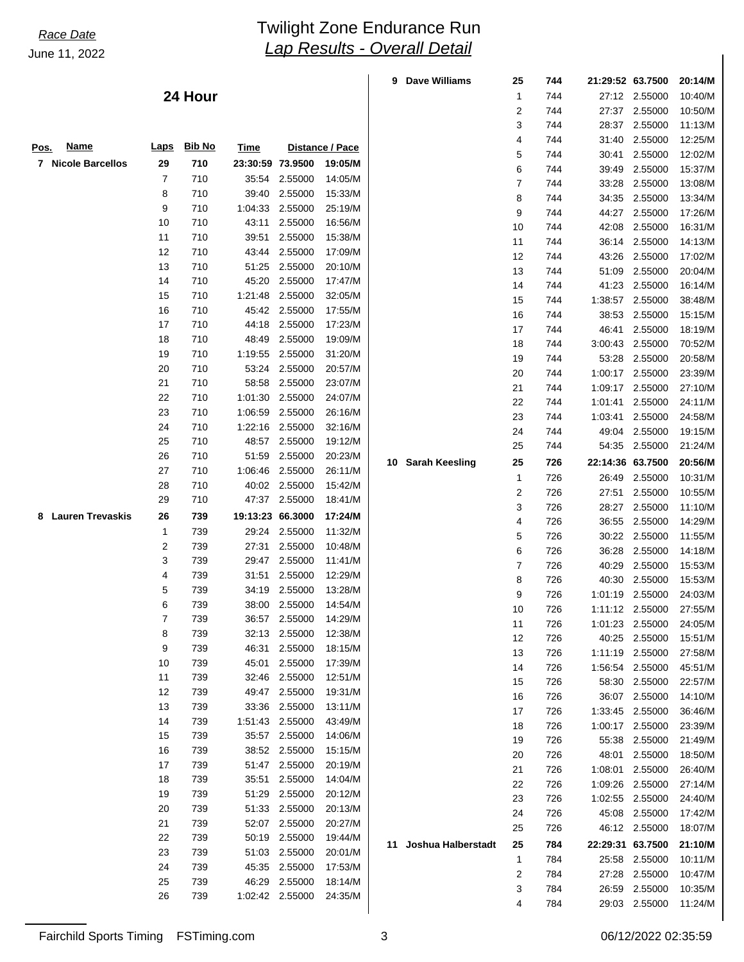|                              |                |               |                  |                 |                 | 9 | <b>Dave Williams</b>  | 25           | 744 | 21:29:52 63.7500 |                 | 20:14/M |
|------------------------------|----------------|---------------|------------------|-----------------|-----------------|---|-----------------------|--------------|-----|------------------|-----------------|---------|
|                              |                | 24 Hour       |                  |                 |                 |   |                       | 1            | 744 |                  | 27:12 2.55000   | 10:40/M |
|                              |                |               |                  |                 |                 |   |                       | 2            | 744 |                  | 27:37 2.55000   | 10:50/M |
|                              |                |               |                  |                 |                 |   |                       | 3            | 744 |                  | 28:37 2.55000   | 11:13/M |
|                              |                |               |                  |                 |                 |   |                       | 4            | 744 | 31:40            | 2.55000         | 12:25/M |
| <b>Name</b><br><u>Pos.</u>   | <u>Laps</u>    | <b>Bib No</b> | <b>Time</b>      |                 | Distance / Pace |   |                       | 5            | 744 | 30:41            | 2.55000         | 12:02/M |
| 7 Nicole Barcellos           | 29             | 710           | 23:30:59 73.9500 |                 | 19:05/M         |   |                       | 6            | 744 | 39:49            | 2.55000         | 15:37/M |
|                              | 7              | 710           |                  | 35:54 2.55000   | 14:05/M         |   |                       | 7            | 744 | 33:28            | 2.55000         | 13:08/M |
|                              | 8              | 710           |                  | 39:40 2.55000   | 15:33/M         |   |                       | 8            | 744 | 34:35            | 2.55000         | 13:34/M |
|                              | 9              | 710           | 1:04:33          | 2.55000         | 25:19/M         |   |                       | 9            | 744 | 44:27            | 2.55000         | 17:26/M |
|                              | 10             | 710           | 43:11            | 2.55000         | 16:56/M         |   |                       | 10           | 744 | 42:08            | 2.55000         | 16:31/M |
|                              | 11             | 710           | 39:51            | 2.55000         | 15:38/M         |   |                       | 11           | 744 | 36:14            | 2.55000         | 14:13/M |
|                              | 12             | 710           |                  | 43:44 2.55000   | 17:09/M         |   |                       | 12           | 744 | 43:26            | 2.55000         | 17:02/M |
|                              | 13             | 710           | 51:25            | 2.55000         | 20:10/M         |   |                       | 13           | 744 | 51:09            | 2.55000         | 20:04/M |
|                              | 14             | 710           | 45:20            | 2.55000         | 17:47/M         |   |                       | 14           | 744 | 41:23            | 2.55000         | 16:14/M |
|                              | 15             | 710           | 1:21:48          | 2.55000         | 32:05/M         |   |                       | 15           | 744 |                  | 1:38:57 2.55000 | 38:48/M |
|                              | 16             | 710           |                  | 45:42 2.55000   | 17:55/M         |   |                       | 16           | 744 | 38:53            | 2.55000         | 15:15/M |
|                              | 17             | 710           |                  | 44:18 2.55000   | 17:23/M         |   |                       | 17           | 744 | 46:41            | 2.55000         | 18:19/M |
|                              | 18             | 710           |                  | 48:49 2.55000   | 19:09/M         |   |                       | 18           | 744 |                  | 3:00:43 2.55000 | 70:52/M |
|                              | 19             | 710           | 1:19:55          | 2.55000         | 31:20/M         |   |                       | 19           | 744 | 53:28            | 2.55000         | 20:58/M |
|                              | 20             | 710           |                  | 53:24 2.55000   | 20:57/M         |   |                       | 20           | 744 |                  | 1:00:17 2.55000 | 23:39/M |
|                              | 21             | 710           |                  | 58:58 2.55000   | 23:07/M         |   |                       | 21           | 744 |                  | 1:09:17 2.55000 | 27:10/M |
|                              | 22             | 710           | 1:01:30          | 2.55000         | 24:07/M         |   |                       | 22           | 744 | 1:01:41          | 2.55000         | 24:11/M |
|                              | 23             | 710           | 1:06:59          | 2.55000         | 26:16/M         |   |                       | 23           | 744 | 1:03:41          | 2.55000         | 24:58/M |
|                              | 24             | 710           |                  | 1:22:16 2.55000 | 32:16/M         |   |                       | 24           | 744 | 49:04            | 2.55000         | 19:15/M |
|                              | 25             | 710           |                  | 48:57 2.55000   | 19:12/M         |   |                       | 25           | 744 | 54:35            | 2.55000         | 21:24/M |
|                              | 26             | 710           | 51:59            | 2.55000         | 20:23/M         |   | 10 Sarah Keesling     | 25           | 726 | 22:14:36 63.7500 |                 | 20:56/M |
|                              | 27             | 710           |                  | 1:06:46 2.55000 | 26:11/M         |   |                       | $\mathbf{1}$ | 726 | 26:49            | 2.55000         | 10:31/M |
|                              | 28             | 710           |                  | 40:02 2.55000   | 15:42/M         |   |                       | 2            | 726 | 27:51            | 2.55000         | 10:55/M |
|                              | 29             | 710           |                  | 47:37 2.55000   | 18:41/M         |   |                       | 3            | 726 | 28:27            | 2.55000         | 11:10/M |
| <b>Lauren Trevaskis</b><br>8 | 26             | 739           | 19:13:23 66.3000 |                 | 17:24/M         |   |                       | 4            | 726 | 36:55            | 2.55000         | 14:29/M |
|                              | 1              | 739           |                  | 29:24 2.55000   | 11:32/M         |   |                       | 5            | 726 |                  | 30:22 2.55000   | 11:55/M |
|                              | $\overline{c}$ | 739           |                  | 27:31 2.55000   | 10:48/M         |   |                       | 6            | 726 | 36:28            | 2.55000         | 14:18/M |
|                              | 3              | 739           |                  | 29:47 2.55000   | 11:41/M         |   |                       | 7            | 726 | 40:29            | 2.55000         | 15:53/M |
|                              | 4              | 739           |                  | 31:51 2.55000   | 12:29/M         |   |                       | 8            | 726 | 40:30            | 2.55000         | 15:53/M |
|                              | 5              | 739           |                  | 34:19 2.55000   | 13:28/M         |   |                       | 9            | 726 |                  | 1:01:19 2.55000 | 24:03/M |
|                              | 6              | 739           |                  | 38:00 2.55000   | 14:54/M         |   |                       | 10           | 726 |                  | 1:11:12 2.55000 | 27:55/M |
|                              | 7              | 739           |                  | 36:57 2.55000   | 14:29/M         |   |                       | 11           | 726 |                  | 1:01:23 2.55000 | 24:05/M |
|                              | 8              | 739           |                  | 32:13 2.55000   | 12:38/M         |   |                       | 12           | 726 |                  | 40:25 2.55000   | 15:51/M |
|                              | 9              | 739           |                  | 46:31 2.55000   | 18:15/M         |   |                       | 13           | 726 |                  | 1:11:19 2.55000 | 27:58/M |
|                              | 10             | 739           |                  | 45:01 2.55000   | 17:39/M         |   |                       | 14           | 726 |                  | 1:56:54 2.55000 | 45:51/M |
|                              | 11             | 739           |                  | 32:46 2.55000   | 12:51/M         |   |                       | 15           | 726 |                  | 58:30 2.55000   | 22:57/M |
|                              | 12             | 739           |                  | 49:47 2.55000   | 19:31/M         |   |                       | 16           | 726 |                  | 36:07 2.55000   | 14:10/M |
|                              | 13             | 739           |                  | 33:36 2.55000   | 13:11/M         |   |                       | 17           | 726 |                  | 1:33:45 2.55000 | 36:46/M |
|                              | 14             | 739           |                  | 1:51:43 2.55000 | 43:49/M         |   |                       | 18           | 726 |                  | 1:00:17 2.55000 | 23:39/M |
|                              | 15             | 739           |                  | 35:57 2.55000   | 14:06/M         |   |                       | 19           | 726 |                  | 55:38 2.55000   | 21:49/M |
|                              | 16             | 739           |                  | 38:52 2.55000   | 15:15/M         |   |                       | 20           | 726 | 48:01            | 2.55000         | 18:50/M |
|                              | 17             | 739           |                  | 51:47 2.55000   | 20:19/M         |   |                       | 21           | 726 | 1:08:01          | 2.55000         | 26:40/M |
|                              | 18             | 739           |                  | 35:51 2.55000   | 14:04/M         |   |                       | 22           | 726 |                  | 1:09:26 2.55000 | 27:14/M |
|                              | 19             | 739           |                  | 51:29 2.55000   | 20:12/M         |   |                       | 23           | 726 |                  | 1:02:55 2.55000 | 24:40/M |
|                              | 20             | 739           |                  | 51:33 2.55000   | 20:13/M         |   |                       | 24           | 726 |                  | 45:08 2.55000   | 17:42/M |
|                              | 21             | 739           |                  | 52:07 2.55000   | 20:27/M         |   |                       | 25           | 726 |                  | 46:12 2.55000   | 18:07/M |
|                              | 22             | 739           |                  | 50:19 2.55000   | 19:44/M         |   | 11 Joshua Halberstadt | 25           | 784 | 22:29:31 63.7500 |                 | 21:10/M |
|                              | 23             | 739           |                  | 51:03 2.55000   | 20:01/M         |   |                       | 1            | 784 |                  | 25:58 2.55000   | 10:11/M |
|                              | 24             | 739           |                  | 45:35 2.55000   | 17:53/M         |   |                       | 2            | 784 |                  | 27:28 2.55000   | 10:47/M |
|                              | 25             | 739           |                  | 46:29 2.55000   | 18:14/M         |   |                       | 3            | 784 |                  | 26:59 2.55000   | 10:35/M |
|                              | 26             | 739           |                  | 1:02:42 2.55000 | 24:35/M         |   |                       | 4            | 784 |                  | 29:03 2.55000   | 11:24/M |
|                              |                |               |                  |                 |                 |   |                       |              |     |                  |                 |         |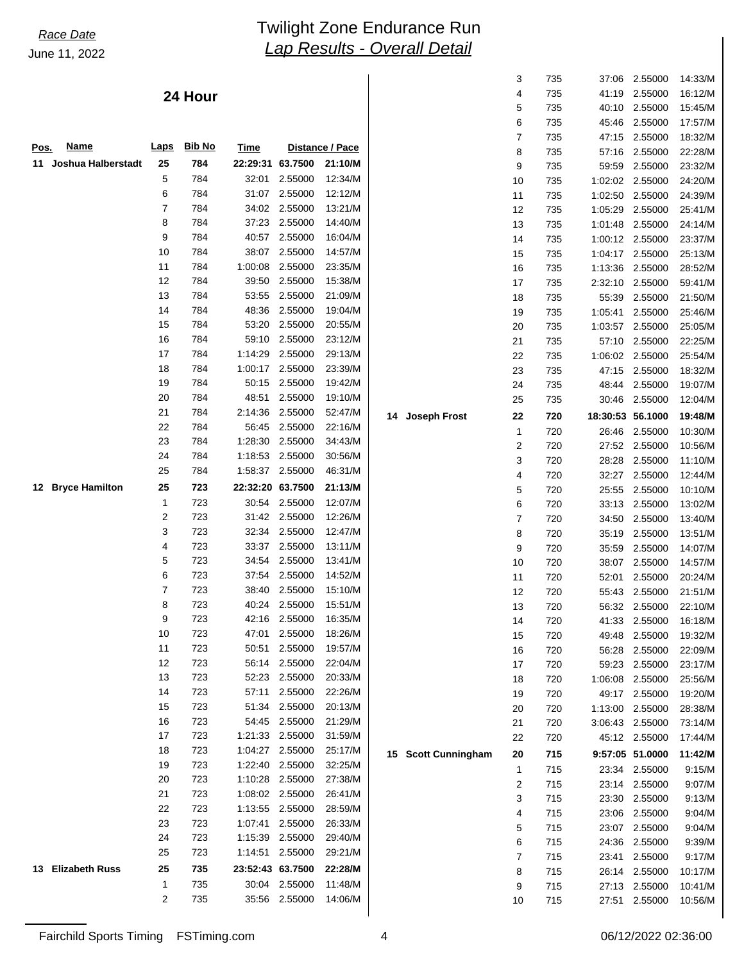### **24 Hour**

|             |                       |              |               |                  |                                    |                    |                     | 5                | 735 | 40:10            | 2.55000         | 15:45/M |
|-------------|-----------------------|--------------|---------------|------------------|------------------------------------|--------------------|---------------------|------------------|-----|------------------|-----------------|---------|
|             |                       |              |               |                  |                                    |                    |                     | 6                | 735 | 45:46            | 2.55000         | 17:57/M |
|             |                       |              |               |                  |                                    |                    |                     | $\overline{7}$   | 735 |                  | 47:15 2.55000   | 18:32/M |
| <u>Pos.</u> | <b>Name</b>           | <b>Laps</b>  | <b>Bib No</b> | Time             |                                    | Distance / Pace    |                     | 8                | 735 | 57:16            | 2.55000         | 22:28/M |
|             | 11 Joshua Halberstadt | 25           | 784           | 22:29:31 63.7500 |                                    | 21:10/M            |                     | 9                | 735 | 59.59            | 2.55000         | 23:32/M |
|             |                       | 5            | 784           |                  | 32:01 2.55000                      | 12:34/M            |                     | 10               | 735 |                  | 1:02:02 2.55000 | 24:20/M |
|             |                       | 6            | 784           |                  | 31:07 2.55000                      | 12:12/M            |                     | 11               | 735 | 1:02:50          | 2.55000         | 24:39/M |
|             |                       | 7            | 784           |                  | 34:02 2.55000                      | 13:21/M            |                     | 12               | 735 | 1:05:29          | 2.55000         | 25:41/M |
|             |                       | 8            | 784           |                  | 37:23 2.55000                      | 14:40/M            |                     | 13               | 735 |                  | 1:01:48 2.55000 | 24:14/M |
|             |                       | 9            | 784           |                  | 40:57 2.55000                      | 16:04/M            |                     | 14               | 735 |                  | 1:00:12 2.55000 | 23:37/M |
|             |                       | 10           | 784           |                  | 38:07 2.55000                      | 14:57/M            |                     | 15               | 735 |                  | 1:04:17 2.55000 | 25:13/M |
|             |                       | 11           | 784           |                  | 1:00:08 2.55000                    | 23:35/M            |                     | 16               | 735 |                  | 1:13:36 2.55000 | 28:52/M |
|             |                       | 12           | 784           |                  | 39:50 2.55000                      | 15:38/M            |                     | 17               | 735 | 2:32:10          | 2.55000         | 59:41/M |
|             |                       | 13           | 784           |                  | 53:55 2.55000                      | 21:09/M            |                     | 18               | 735 | 55:39            | 2.55000         | 21:50/M |
|             |                       | 14           | 784           |                  | 48:36 2.55000                      | 19:04/M            |                     | 19               | 735 | 1:05:41          | 2.55000         | 25:46/M |
|             |                       | 15           | 784           |                  | 53:20 2.55000                      | 20:55/M            |                     | 20               | 735 | 1:03:57          | 2.55000         | 25:05/M |
|             |                       | 16           | 784           |                  | 59:10 2.55000                      | 23:12/M            |                     | 21               | 735 | 57:10            | 2.55000         | 22:25/M |
|             |                       | 17           | 784           |                  | 1:14:29 2.55000                    | 29:13/M            |                     | 22               | 735 |                  | 1:06:02 2.55000 | 25:54/M |
|             |                       | 18           | 784           |                  | 1:00:17 2.55000                    | 23:39/M            |                     | 23               | 735 |                  | 47:15 2.55000   | 18:32/M |
|             |                       | 19           | 784           |                  | 50:15 2.55000                      | 19:42/M            |                     | 24               | 735 |                  | 48:44 2.55000   | 19:07/M |
|             |                       | 20           | 784           |                  | 48:51 2.55000                      | 19:10/M            |                     | 25               | 735 |                  | 30:46 2.55000   | 12:04/M |
|             |                       | 21           | 784           |                  | 2:14:36 2.55000                    | 52:47/M            | 14 Joseph Frost     | 22               | 720 | 18:30:53 56.1000 |                 | 19:48/M |
|             |                       | 22           | 784           |                  | 56:45 2.55000                      | 22:16/M            |                     | 1                | 720 |                  | 26:46 2.55000   | 10:30/M |
|             |                       | 23           | 784           |                  | 1:28:30 2.55000                    | 34:43/M            |                     | $\boldsymbol{2}$ | 720 |                  | 27:52 2.55000   | 10:56/M |
|             |                       | 24           | 784           |                  | 1:18:53 2.55000                    | 30:56/M            |                     | 3                | 720 | 28:28            | 2.55000         | 11:10/M |
|             |                       | 25           | 784           |                  | 1:58:37 2.55000                    | 46:31/M            |                     | 4                | 720 |                  | 32:27 2.55000   | 12:44/M |
|             | 12 Bryce Hamilton     | 25           | 723           | 22:32:20 63.7500 |                                    | 21:13/M            |                     | 5                | 720 | 25:55            | 2.55000         | 10:10/M |
|             |                       | 1            | 723           |                  | 30:54 2.55000                      | 12:07/M            |                     | 6                | 720 |                  | 33:13 2.55000   | 13:02/M |
|             |                       | 2            | 723           |                  | 31:42 2.55000                      | 12:26/M            |                     | $\overline{7}$   | 720 | 34:50            | 2.55000         | 13:40/M |
|             |                       | 3            | 723           |                  | 32:34 2.55000                      | 12:47/M            |                     | 8                | 720 | 35:19            | 2.55000         | 13:51/M |
|             |                       | 4            | 723           |                  | 33:37 2.55000                      | 13:11/M            |                     | 9                | 720 | 35:59            | 2.55000         | 14:07/M |
|             |                       | 5            | 723           | 34:54            | 2.55000                            | 13:41/M            |                     | 10               | 720 |                  | 38:07 2.55000   | 14:57/M |
|             |                       | 6            | 723           |                  | 37:54 2.55000                      | 14:52/M            |                     | 11               | 720 | 52:01            | 2.55000         | 20:24/M |
|             |                       | 7            | 723           | 38:40            | 2.55000                            | 15:10/M            |                     | 12               | 720 |                  | 55:43 2.55000   | 21:51/M |
|             |                       | 8            | 723           |                  | 40:24 2.55000                      | 15:51/M            |                     | 13               | 720 |                  | 56:32 2.55000   | 22:10/M |
|             |                       | 9            | 723           |                  | 42:16 2.55000                      | 16:35/M            |                     | 14               | 720 |                  | 41:33 2.55000   | 16:18/M |
|             |                       | 10           | 723           | 47:01            | 2.55000                            | 18:26/M            |                     | 15               | 720 |                  | 49:48 2.55000   | 19:32/M |
|             |                       | 11           | 723           | 50:51            | 2.55000                            | 19:57/M            |                     | 16               | 720 |                  | 56:28 2.55000   | 22:09/M |
|             |                       | 12           | 723           |                  | 56:14 2.55000                      | 22:04/M            |                     | 17               | 720 |                  | 59:23 2.55000   | 23:17/M |
|             |                       | 13           | 723           |                  | 52:23 2.55000                      | 20:33/M            |                     | 18               | 720 |                  | 1:06:08 2.55000 | 25:56/M |
|             |                       | 14           | 723           |                  | 57:11 2.55000                      | 22:26/M            |                     | 19               | 720 |                  | 49:17 2.55000   | 19:20/M |
|             |                       | 15           | 723           |                  | 51:34 2.55000                      | 20:13/M            |                     | 20               | 720 |                  | 1:13:00 2.55000 | 28:38/M |
|             |                       | 16           | 723           |                  | 54:45 2.55000                      | 21:29/M            |                     | 21               | 720 |                  | 3:06:43 2.55000 | 73:14/M |
|             |                       | 17           | 723           |                  | 1:21:33 2.55000                    | 31:59/M            |                     | 22               | 720 |                  | 45:12 2.55000   | 17:44/M |
|             |                       | 18           | 723           |                  | 1:04:27 2.55000                    | 25:17/M            |                     |                  |     |                  |                 |         |
|             |                       | 19           | 723           |                  | 1:22:40 2.55000                    | 32:25/M            | 15 Scott Cunningham | 20               | 715 |                  | 9:57:05 51.0000 | 11:42/M |
|             |                       | 20           | 723           |                  | 1:10:28 2.55000                    | 27:38/M            |                     | $\mathbf{1}$     | 715 |                  | 23:34 2.55000   | 9:15/M  |
|             |                       | 21           | 723           |                  | 1:08:02 2.55000                    | 26:41/M            |                     | $\overline{2}$   | 715 |                  | 23:14 2.55000   | 9:07/M  |
|             |                       | 22           | 723           |                  | 1:13:55 2.55000                    | 28:59/M            |                     | 3                | 715 |                  | 23:30 2.55000   | 9:13/M  |
|             |                       | 23           |               |                  |                                    |                    |                     | 4                | 715 |                  | 23:06 2.55000   | 9:04/M  |
|             |                       | 24           | 723<br>723    |                  | 1:07:41 2.55000<br>1:15:39 2.55000 | 26:33/M<br>29:40/M |                     | 5                | 715 |                  | 23:07 2.55000   | 9:04/M  |
|             |                       |              |               |                  |                                    |                    |                     | 6                | 715 |                  | 24:36 2.55000   | 9:39/M  |
|             |                       | 25           | 723           |                  | 1:14:51 2.55000                    | 29:21/M            |                     | $\overline{7}$   | 715 |                  | 23:41 2.55000   | 9:17/M  |
|             | 13 Elizabeth Russ     | 25           | 735           | 23:52:43 63.7500 |                                    | 22:28/M            |                     | 8                | 715 |                  | 26:14 2.55000   | 10:17/M |
|             |                       | $\mathbf{1}$ | 735           |                  | 30:04 2.55000                      | 11:48/M            |                     | 9                | 715 |                  | 27:13 2.55000   | 10:41/M |
|             |                       | 2            | 735           |                  | 35:56 2.55000                      | 14:06/M            |                     | 10               | 715 |                  | 27:51 2.55000   | 10:56/M |
|             |                       |              |               |                  |                                    |                    |                     |                  |     |                  |                 |         |

 3 735 37:06 2.55000 14:33/M 4 735 41:19 2.55000 16:12/M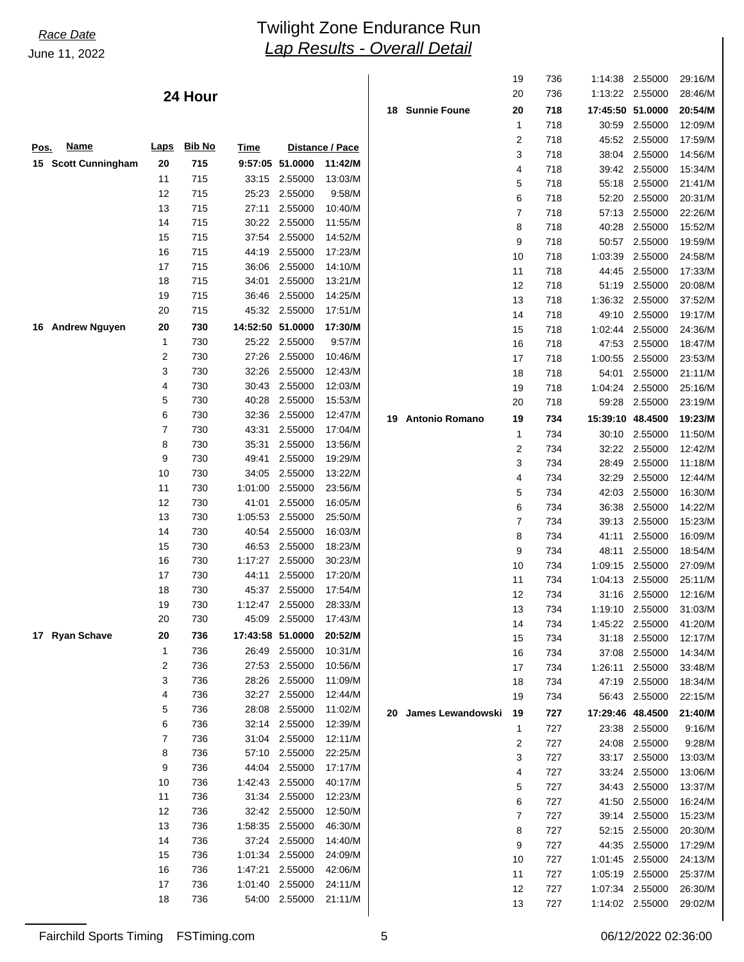|      |                     |             |               |                  |                 |                 |                      | 19 | 736 | 1:14:38          | 2.55000         | 29:16/M |
|------|---------------------|-------------|---------------|------------------|-----------------|-----------------|----------------------|----|-----|------------------|-----------------|---------|
|      |                     |             | 24 Hour       |                  |                 |                 |                      | 20 | 736 |                  | 1:13:22 2.55000 | 28:46/M |
|      |                     |             |               |                  |                 |                 | 18 Sunnie Foune      | 20 | 718 | 17:45:50 51.0000 |                 | 20:54/M |
|      |                     |             |               |                  |                 |                 |                      | 1  | 718 | 30:59            | 2.55000         | 12:09/M |
|      | <b>Name</b>         |             | <b>Bib No</b> |                  |                 |                 |                      | 2  | 718 | 45:52            | 2.55000         | 17:59/M |
| Pos. |                     | <b>Laps</b> |               | <b>Time</b>      |                 | Distance / Pace |                      | 3  | 718 | 38:04            | 2.55000         | 14:56/M |
|      | 15 Scott Cunningham | 20          | 715           |                  | 9:57:05 51.0000 | 11:42/M         |                      | 4  | 718 | 39:42            | 2.55000         | 15:34/M |
|      |                     | 11          | 715           |                  | 33:15 2.55000   | 13:03/M         |                      | 5  | 718 | 55:18            | 2.55000         | 21:41/M |
|      |                     | 12          | 715           |                  | 25:23 2.55000   | 9:58/M          |                      | 6  | 718 | 52:20            | 2.55000         | 20:31/M |
|      |                     | 13          | 715           | 27:11            | 2.55000         | 10:40/M         |                      | 7  | 718 | 57:13            | 2.55000         | 22:26/M |
|      |                     | 14          | 715           |                  | 30:22 2.55000   | 11:55/M         |                      | 8  | 718 | 40:28            | 2.55000         | 15:52/M |
|      |                     | 15          | 715           |                  | 37:54 2.55000   | 14:52/M         |                      | 9  | 718 | 50:57            | 2.55000         | 19:59/M |
|      |                     | 16          | 715           |                  | 44:19 2.55000   | 17:23/M         |                      | 10 | 718 | 1:03:39          | 2.55000         | 24:58/M |
|      |                     | 17          | 715           |                  | 36:06 2.55000   | 14:10/M         |                      | 11 | 718 | 44:45            | 2.55000         | 17:33/M |
|      |                     | 18          | 715           | 34:01            | 2.55000         | 13:21/M         |                      | 12 | 718 | 51:19            | 2.55000         | 20:08/M |
|      |                     | 19          | 715           | 36:46            | 2.55000         | 14:25/M         |                      | 13 | 718 | 1:36:32          | 2.55000         | 37:52/M |
|      |                     | 20          | 715           |                  | 45:32 2.55000   | 17:51/M         |                      | 14 | 718 | 49:10            | 2.55000         | 19:17/M |
|      | 16 Andrew Nguyen    | 20          | 730           | 14:52:50 51.0000 |                 | 17:30/M         |                      | 15 | 718 | 1:02:44          | 2.55000         | 24:36/M |
|      |                     | 1           | 730           |                  | 25:22 2.55000   | 9:57/M          |                      | 16 | 718 | 47:53            | 2.55000         | 18:47/M |
|      |                     | 2           | 730           |                  | 27:26 2.55000   | 10:46/M         |                      | 17 | 718 | 1:00:55          | 2.55000         | 23:53/M |
|      |                     | 3           | 730           | 32:26            | 2.55000         | 12:43/M         |                      | 18 | 718 | 54:01            | 2.55000         | 21:11/M |
|      |                     | 4           | 730           |                  | 30:43 2.55000   | 12:03/M         |                      | 19 | 718 | 1:04:24          | 2.55000         |         |
|      |                     | 5           | 730           | 40:28            | 2.55000         | 15:53/M         |                      |    |     |                  |                 | 25:16/M |
|      |                     | 6           | 730           | 32:36            | 2.55000         | 12:47/M         |                      | 20 | 718 | 59:28            | 2.55000         | 23:19/M |
|      |                     | 7           | 730           | 43:31            | 2.55000         | 17:04/M         | 19 Antonio Romano    | 19 | 734 | 15:39:10 48.4500 |                 | 19:23/M |
|      |                     | 8           | 730           | 35:31            | 2.55000         |                 |                      | 1  | 734 | 30:10            | 2.55000         | 11:50/M |
|      |                     |             |               |                  |                 | 13:56/M         |                      | 2  | 734 | 32:22            | 2.55000         | 12:42/M |
|      |                     | 9           | 730           | 49:41            | 2.55000         | 19:29/M         |                      | 3  | 734 | 28:49            | 2.55000         | 11:18/M |
|      |                     | 10          | 730           | 34:05            | 2.55000         | 13:22/M         |                      | 4  | 734 | 32:29            | 2.55000         | 12:44/M |
|      |                     | 11          | 730           |                  | 1:01:00 2.55000 | 23:56/M         |                      | 5  | 734 | 42:03            | 2.55000         | 16:30/M |
|      |                     | 12          | 730           | 41:01            | 2.55000         | 16:05/M         |                      | 6  | 734 | 36:38            | 2.55000         | 14:22/M |
|      |                     | 13          | 730           | 1:05:53          | 2.55000         | 25:50/M         |                      | 7  | 734 | 39:13            | 2.55000         | 15:23/M |
|      |                     | 14          | 730           | 40:54            | 2.55000         | 16:03/M         |                      | 8  | 734 | 41:11            | 2.55000         | 16:09/M |
|      |                     | 15          | 730           |                  | 46:53 2.55000   | 18:23/M         |                      | 9  | 734 | 48:11            | 2.55000         | 18:54/M |
|      |                     | 16          | 730           |                  | 1:17:27 2.55000 | 30:23/M         |                      | 10 | 734 | 1:09:15          | 2.55000         | 27:09/M |
|      |                     | 17          | 730           | 44:11            | 2.55000         | 17:20/M         |                      | 11 | 734 |                  | 1:04:13 2.55000 | 25:11/M |
|      |                     | 18          | 730           | 45:37            | 2.55000         | 17:54/M         |                      | 12 | 734 |                  | 31:16 2.55000   | 12:16/M |
|      |                     | 19          | 730           |                  | 1:12:47 2.55000 | 28:33/M         |                      | 13 | 734 | 1:19:10          | 2.55000         | 31:03/M |
|      |                     | 20          | 730           | 45:09            | 2.55000         | 17:43/M         |                      | 14 | 734 |                  | 1:45:22 2.55000 | 41:20/M |
|      | 17 Ryan Schave      | 20          | 736           | 17:43:58 51.0000 |                 | 20:52/M         |                      | 15 | 734 | 31:18            | 2.55000         | 12:17/M |
|      |                     | 1           | 736           |                  | 26:49 2.55000   | 10:31/M         |                      | 16 | 734 |                  | 37:08 2.55000   | 14:34/M |
|      |                     | 2           | 736           | 27:53            | 2.55000         | 10:56/M         |                      | 17 | 734 | 1:26:11          | 2.55000         | 33:48/M |
|      |                     | 3           | 736           |                  | 28:26 2.55000   | 11:09/M         |                      | 18 | 734 | 47:19            | 2.55000         | 18:34/M |
|      |                     | 4           | 736           |                  | 32:27 2.55000   | 12:44/M         |                      | 19 | 734 | 56:43            | 2.55000         | 22:15/M |
|      |                     | 5           | 736           | 28:08            | 2.55000         | 11:02/M         | 20 James Lewandowski | 19 | 727 | 17:29:46 48.4500 |                 |         |
|      |                     | 6           | 736           |                  | 32:14 2.55000   | 12:39/M         |                      |    |     |                  |                 | 21:40/M |
|      |                     | 7           | 736           |                  | 31:04 2.55000   | 12:11/M         |                      | 1  | 727 |                  | 23:38 2.55000   | 9:16/M  |
|      |                     | 8           | 736           | 57:10            | 2.55000         | 22:25/M         |                      | 2  | 727 |                  | 24:08 2.55000   | 9:28/M  |
|      |                     | 9           | 736           |                  | 44:04 2.55000   | 17:17/M         |                      | 3  | 727 |                  | 33:17 2.55000   | 13:03/M |
|      |                     | 10          | 736           |                  | 1:42:43 2.55000 | 40:17/M         |                      | 4  | 727 |                  | 33:24 2.55000   | 13:06/M |
|      |                     | 11          | 736           |                  | 31:34 2.55000   | 12:23/M         |                      | 5  | 727 |                  | 34:43 2.55000   | 13:37/M |
|      |                     | 12          |               |                  |                 | 12:50/M         |                      | 6  | 727 |                  | 41:50 2.55000   | 16:24/M |
|      |                     | 13          | 736           |                  | 32:42 2.55000   |                 |                      | 7  | 727 |                  | 39:14 2.55000   | 15:23/M |
|      |                     |             | 736           |                  | 1:58:35 2.55000 | 46:30/M         |                      | 8  | 727 |                  | 52:15 2.55000   | 20:30/M |
|      |                     | 14          | 736           |                  | 37:24 2.55000   | 14:40/M         |                      | 9  | 727 |                  | 44:35 2.55000   | 17:29/M |
|      |                     | 15          | 736           |                  | 1:01:34 2.55000 | 24:09/M         |                      | 10 | 727 |                  | 1:01:45 2.55000 | 24:13/M |
|      |                     | 16          | 736           | 1:47:21          | 2.55000         | 42:06/M         |                      | 11 | 727 |                  | 1:05:19 2.55000 | 25:37/M |
|      |                     | 17          | 736           |                  | 1:01:40 2.55000 | 24:11/M         |                      | 12 | 727 |                  | 1:07:34 2.55000 | 26:30/M |
|      |                     | 18          | 736           |                  | 54:00 2.55000   | 21:11/M         |                      | 13 | 727 | 1:14:02 2.55000  |                 | 29:02/M |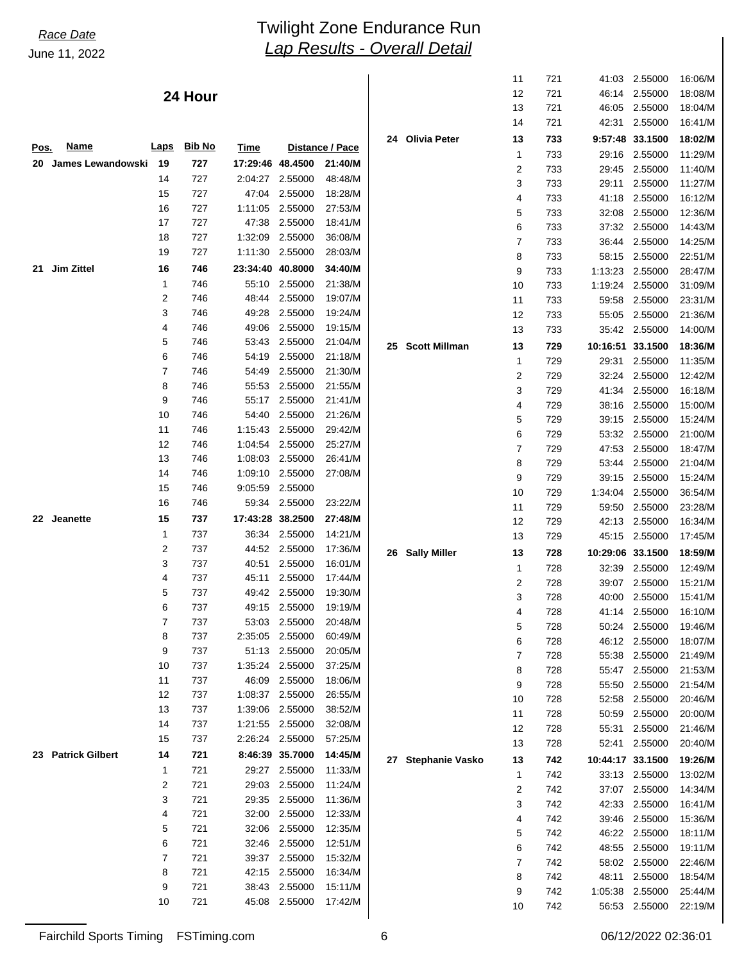### **24 Hour**

|      |                        |                |               |                  |                    |                 |                    | 13             | 721 | 46.05            | 2.55000         | 18:04/M |
|------|------------------------|----------------|---------------|------------------|--------------------|-----------------|--------------------|----------------|-----|------------------|-----------------|---------|
|      |                        |                |               |                  |                    |                 |                    | 14             | 721 | 42:31            | 2.55000         | 16:41/M |
|      |                        |                |               |                  |                    |                 | 24 Olivia Peter    | 13             | 733 |                  | 9:57:48 33.1500 | 18:02/M |
| Pos. | <u>Name</u>            | <b>Laps</b>    | <b>Bib No</b> | Time             |                    | Distance / Pace |                    | 1              | 733 |                  | 29:16 2.55000   | 11:29/M |
| 20   | James Lewandowski 19   |                | 727           | 17:29:46 48.4500 |                    | 21:40/M         |                    | 2              | 733 |                  | 29:45 2.55000   | 11:40/M |
|      |                        | 14             | 727           |                  | 2:04:27 2.55000    | 48:48/M         |                    | 3              | 733 | 29:11            | 2.55000         | 11:27/M |
|      |                        | 15             | 727           |                  | 47:04 2.55000      | 18:28/M         |                    | 4              | 733 |                  | 41:18 2.55000   | 16:12/M |
|      |                        | 16             | 727           |                  | 1:11:05 2.55000    | 27:53/M         |                    | 5              |     | 32:08            | 2.55000         | 12:36/M |
|      |                        | 17             | 727           |                  | 47:38 2.55000      | 18:41/M         |                    |                | 733 |                  |                 |         |
|      |                        | 18             | 727           |                  | 1:32:09 2.55000    | 36:08/M         |                    | 6              | 733 |                  | 37:32 2.55000   | 14:43/M |
|      |                        | 19             | 727           |                  | 1:11:30 2.55000    | 28:03/M         |                    | 7              | 733 | 36:44            | 2.55000         | 14:25/M |
| 21   | Jim Zittel             | 16             | 746           | 23:34:40 40.8000 |                    | 34:40/M         |                    | 8              | 733 |                  | 58:15 2.55000   | 22:51/M |
|      |                        |                |               |                  |                    |                 |                    | 9              | 733 | 1:13:23          | 2.55000         | 28:47/M |
|      |                        | $\mathbf{1}$   | 746           |                  | 55:10 2.55000      | 21:38/M         |                    | 10             | 733 | 1:19:24 2.55000  |                 | 31:09/M |
|      |                        | 2              | 746           | 48:44            | 2.55000            | 19:07/M         |                    | 11             | 733 | 59:58            | 2.55000         | 23:31/M |
|      |                        | 3              | 746           | 49:28            | 2.55000            | 19:24/M         |                    | 12             | 733 |                  | 55:05 2.55000   | 21:36/M |
|      |                        | 4              | 746           | 49:06            | 2.55000            | 19:15/M         |                    | 13             | 733 |                  | 35:42 2.55000   | 14:00/M |
|      |                        | 5              | 746           | 53:43            | 2.55000            | 21:04/M         | 25 Scott Millman   | 13             | 729 | 10:16:51 33.1500 |                 | 18:36/M |
|      |                        | 6              | 746           | 54:19            | 2.55000            | 21:18/M         |                    | $\mathbf 1$    | 729 |                  | 29:31 2.55000   | 11:35/M |
|      |                        | $\overline{7}$ | 746           | 54:49            | 2.55000            | 21:30/M         |                    | 2              | 729 |                  | 32:24 2.55000   | 12:42/M |
|      |                        | 8              | 746           | 55:53            | 2.55000            | 21:55/M         |                    | 3              | 729 |                  | 41:34 2.55000   | 16:18/M |
|      |                        | 9              | 746           | 55:17            | 2.55000            | 21:41/M         |                    | 4              | 729 |                  | 38:16 2.55000   | 15:00/M |
|      |                        | 10             | 746           | 54:40            | 2.55000            | 21:26/M         |                    | 5              | 729 |                  | 39:15 2.55000   | 15:24/M |
|      |                        | 11             | 746           | 1:15:43          | 2.55000            | 29:42/M         |                    | 6              | 729 |                  | 53:32 2.55000   | 21:00/M |
|      |                        | 12             | 746           | 1:04:54          | 2.55000            | 25:27/M         |                    | 7              | 729 | 47:53            | 2.55000         | 18:47/M |
|      |                        | 13             | 746           |                  | 1:08:03 2.55000    | 26:41/M         |                    | 8              | 729 |                  | 53:44 2.55000   | 21:04/M |
|      |                        | 14             | 746           | 1:09:10          | 2.55000            | 27:08/M         |                    | 9              | 729 |                  | 39:15 2.55000   | 15:24/M |
|      |                        | 15             | 746           | 9:05:59          | 2.55000            |                 |                    | 10             | 729 | 1:34:04 2.55000  |                 | 36:54/M |
|      |                        | 16             | 746           |                  | 59:34 2.55000      | 23:22/M         |                    |                |     |                  |                 |         |
|      | 22 Jeanette            | 15             | 737           | 17:43:28 38.2500 |                    | 27:48/M         |                    | 11             | 729 |                  | 59:50 2.55000   | 23:28/M |
|      |                        | 1              | 737           |                  | 36:34 2.55000      | 14:21/M         |                    | 12             | 729 |                  | 42:13 2.55000   | 16:34/M |
|      |                        | 2              | 737           |                  | 44:52 2.55000      |                 |                    | 13             | 729 |                  | 45:15 2.55000   | 17:45/M |
|      |                        |                |               |                  |                    | 17:36/M         | 26 Sally Miller    | 13             | 728 | 10:29:06 33.1500 |                 | 18:59/M |
|      |                        | 3              | 737           | 40:51            | 2.55000<br>2.55000 | 16:01/M         |                    | 1              | 728 | 32:39            | 2.55000         | 12:49/M |
|      |                        | 4              | 737           | 45:11            |                    | 17:44/M         |                    | $\overline{2}$ | 728 | 39:07            | 2.55000         | 15:21/M |
|      |                        | 5              | 737           |                  | 49:42 2.55000      | 19:30/M         |                    | 3              | 728 | 40:00            | 2.55000         | 15:41/M |
|      |                        | 6              | 737           |                  | 49:15 2.55000      | 19:19/M         |                    | 4              | 728 | 41:14            | 2.55000         | 16:10/M |
|      |                        | 7              | 737           |                  | 53:03 2.55000      | 20:48/M         |                    | 5              | 728 | 50:24            | 2.55000         | 19:46/M |
|      |                        | 8              | 737           |                  | 2:35:05 2.55000    | 60:49/M         |                    | 6              | 728 |                  | 46:12 2.55000   | 18:07/M |
|      |                        | 9              | 737           | 51:13            | 2.55000            | 20:05/M         |                    | 7              | 728 | 55:38            | 2.55000         | 21:49/M |
|      |                        | 10             | 737           |                  | 1:35:24 2.55000    | 37:25/M         |                    | 8              | 728 | 55:47            | 2.55000         | 21:53/M |
|      |                        | 11             | 737           |                  | 46:09 2.55000      | 18:06/M         |                    | 9              | 728 | 55:50            | 2.55000         | 21:54/M |
|      |                        | 12             | 737           |                  | 1:08:37 2.55000    | 26:55/M         |                    | 10             | 728 | 52:58            | 2.55000         | 20:46/M |
|      |                        | 13             | 737           |                  | 1:39:06 2.55000    | 38:52/M         |                    | 11             | 728 | 50:59            | 2.55000         | 20:00/M |
|      |                        | 14             | 737           |                  | 1:21:55 2.55000    | 32:08/M         |                    | 12             | 728 | 55:31            | 2.55000         | 21:46/M |
|      |                        | 15             | 737           |                  | 2:26:24 2.55000    | 57:25/M         |                    | 13             | 728 | 52:41            | 2.55000         | 20:40/M |
| 23   | <b>Patrick Gilbert</b> | 14             | 721           |                  | 8:46:39 35.7000    | 14:45/M         | 27 Stephanie Vasko | 13             | 742 | 10:44:17 33.1500 |                 | 19:26/M |
|      |                        | 1              | 721           |                  | 29:27 2.55000      | 11:33/M         |                    | 1              | 742 | 33:13            | 2.55000         | 13:02/M |
|      |                        | 2              | 721           |                  | 29:03 2.55000      | 11:24/M         |                    | 2              | 742 | 37:07            | 2.55000         | 14:34/M |
|      |                        | 3              | 721           |                  | 29:35 2.55000      | 11:36/M         |                    | 3              | 742 |                  |                 |         |
|      |                        | 4              | 721           | 32:00            | 2.55000            | 12:33/M         |                    |                |     | 42:33            | 2.55000         | 16:41/M |
|      |                        | 5              | 721           | 32:06            | 2.55000            | 12:35/M         |                    | 4              | 742 | 39:46            | 2.55000         | 15:36/M |
|      |                        | 6              | 721           |                  | 32:46 2.55000      | 12:51/M         |                    | 5              | 742 | 46:22            | 2.55000         | 18:11/M |
|      |                        | 7              | 721           |                  | 39:37 2.55000      | 15:32/M         |                    | 6              | 742 | 48:55            | 2.55000         | 19:11/M |
|      |                        | 8              | 721           |                  | 42:15 2.55000      | 16:34/M         |                    | 7              | 742 | 58:02            | 2.55000         | 22:46/M |
|      |                        | 9              | 721           |                  | 38:43 2.55000      | 15:11/M         |                    | 8              | 742 | 48:11            | 2.55000         | 18:54/M |
|      |                        | 10             | 721           |                  | 45:08 2.55000      | 17:42/M         |                    | 9              | 742 | 1:05:38          | 2.55000         | 25:44/M |
|      |                        |                |               |                  |                    |                 |                    | 10             | 742 |                  | 56:53 2.55000   | 22:19/M |

 11 721 41:03 2.55000 16:06/M 12 721 46:14 2.55000 18:08/M